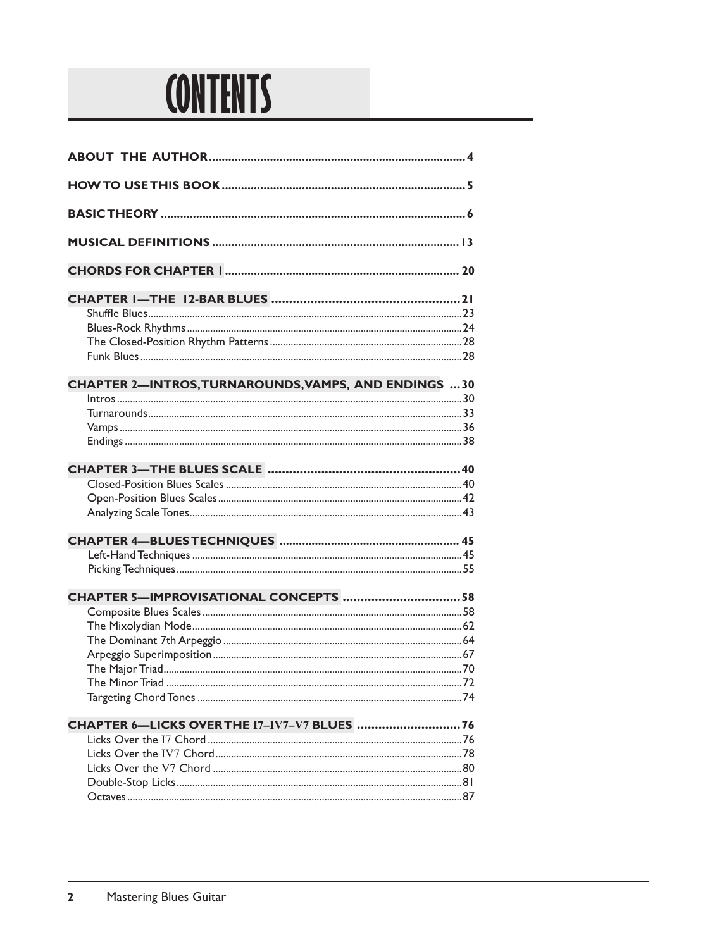

| <b>CHAPTER 2-INTROS, TURNAROUNDS, VAMPS, AND ENDINGS 30</b> |  |
|-------------------------------------------------------------|--|
|                                                             |  |
|                                                             |  |
|                                                             |  |
|                                                             |  |
|                                                             |  |
|                                                             |  |
|                                                             |  |
|                                                             |  |
|                                                             |  |
|                                                             |  |
|                                                             |  |
| CHAPTER 5-IMPROVISATIONAL CONCEPTS 58                       |  |
|                                                             |  |
|                                                             |  |
|                                                             |  |
|                                                             |  |
|                                                             |  |
|                                                             |  |
|                                                             |  |
| CHAPTER 6-LICKS OVER THE I7-IV7-V7 BLUES  76                |  |
|                                                             |  |
|                                                             |  |
|                                                             |  |
|                                                             |  |
|                                                             |  |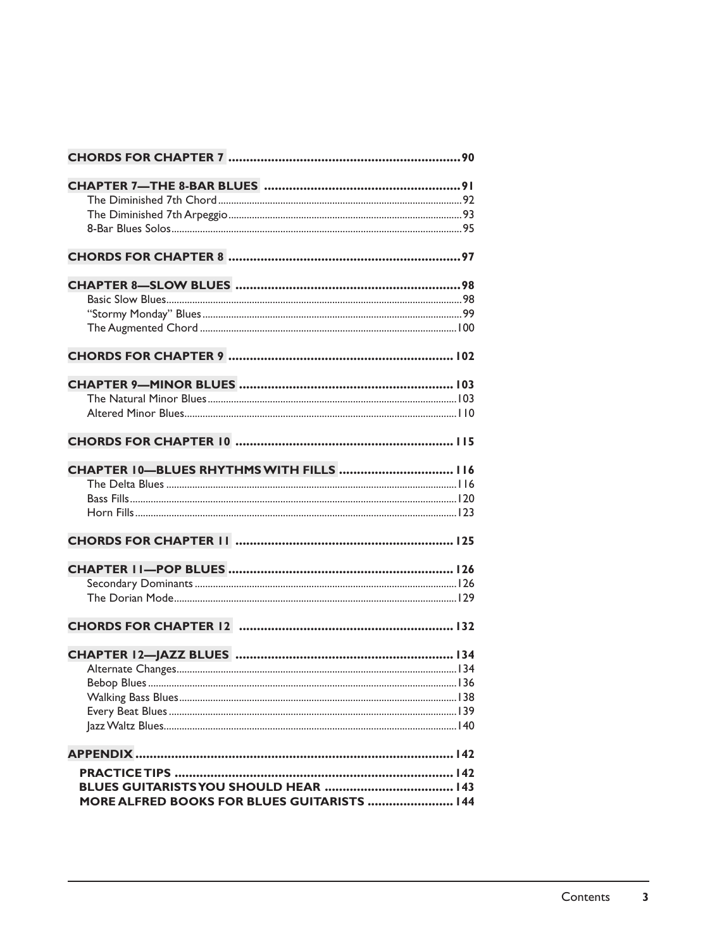| CHAPTER 10-BLUES RHYTHMS WITH FILLS  116    |  |
|---------------------------------------------|--|
|                                             |  |
|                                             |  |
|                                             |  |
|                                             |  |
|                                             |  |
|                                             |  |
|                                             |  |
|                                             |  |
|                                             |  |
|                                             |  |
|                                             |  |
|                                             |  |
|                                             |  |
|                                             |  |
|                                             |  |
|                                             |  |
| MORE ALFRED BOOKS FOR BLUES GUITARISTS  144 |  |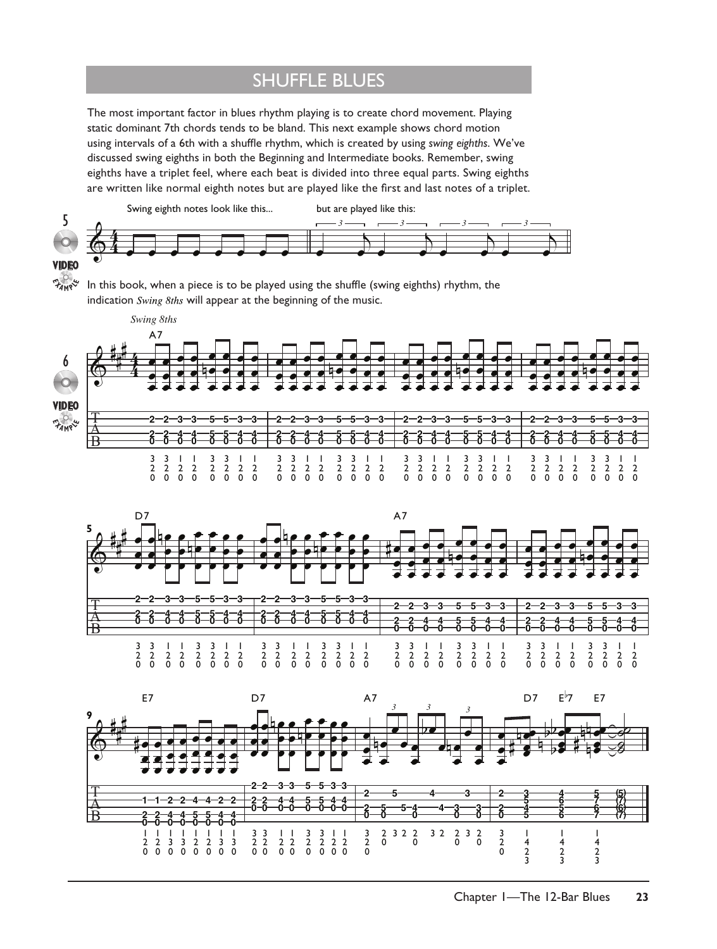#### shuffle blues

The most important factor in blues rhythm playing is to create chord movement. Playing static dominant 7th chords tends to be bland. This next example shows chord motion using intervals of a 6th with a shuffle rhythm, which is created by using *swing eighths*. We've discussed swing eighths in both the Beginning and Intermediate books. Remember, swing eighths have a triplet feel, where each beat is divided into three equal parts. Swing eighths are written like normal eighth notes but are played like the first and last notes of a triplet.



In this book, when a piece is to be played using the shuffle (swing eighths) rhythm, the indication Swing 8ths will appear at the beginning of the music.  $E_{AM}$ 





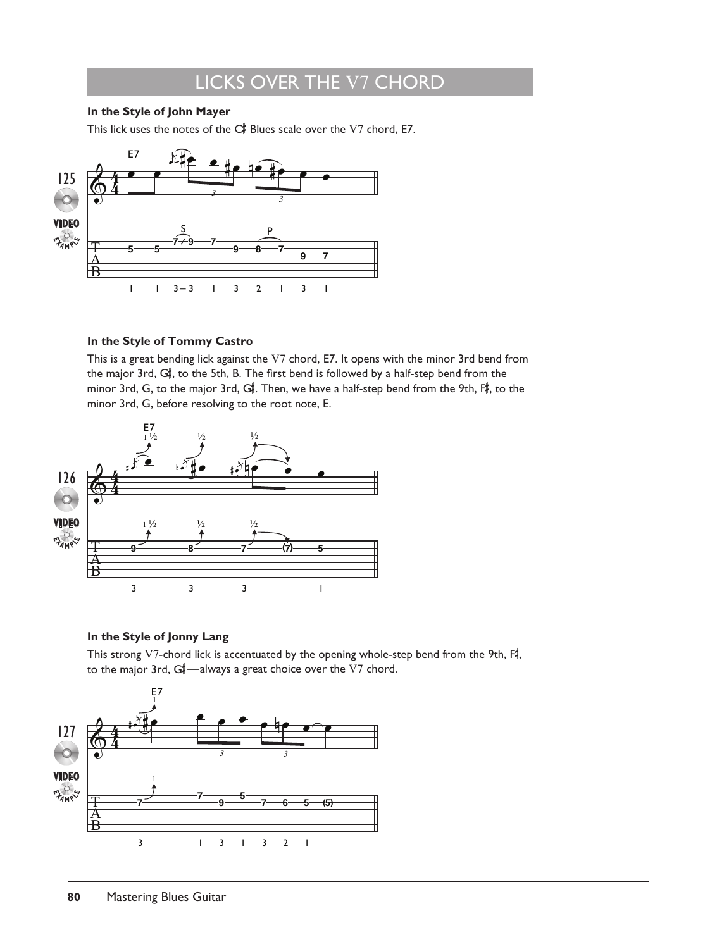## licks over the V7 chord

#### **In the Style of John Mayer**

This lick uses the notes of the  $\mathsf{C}\sharp^{\sharp}$  Blues scale over the  $\mathrm{V}7$  chord, E7.



#### **In the Style of Tommy Castro**

This is a great bending lick against the V7 chord, E7. It opens with the minor 3rd bend from the major 3rd, G# , to the 5th, B. The first bend is followed by a half-step bend from the minor 3rd, G, to the major 3rd, G#. Then, we have a half-step bend from the 9th, F#, to the minor 3rd, G, before resolving to the root note, E.



#### **In the Style of Jonny Lang**

This strong V7-chord lick is accentuated by the opening whole-step bend from the 9th,  $F_{\pi}^{\sharp}$ , to the major 3rd, G#—always a great choice over the V7 chord.

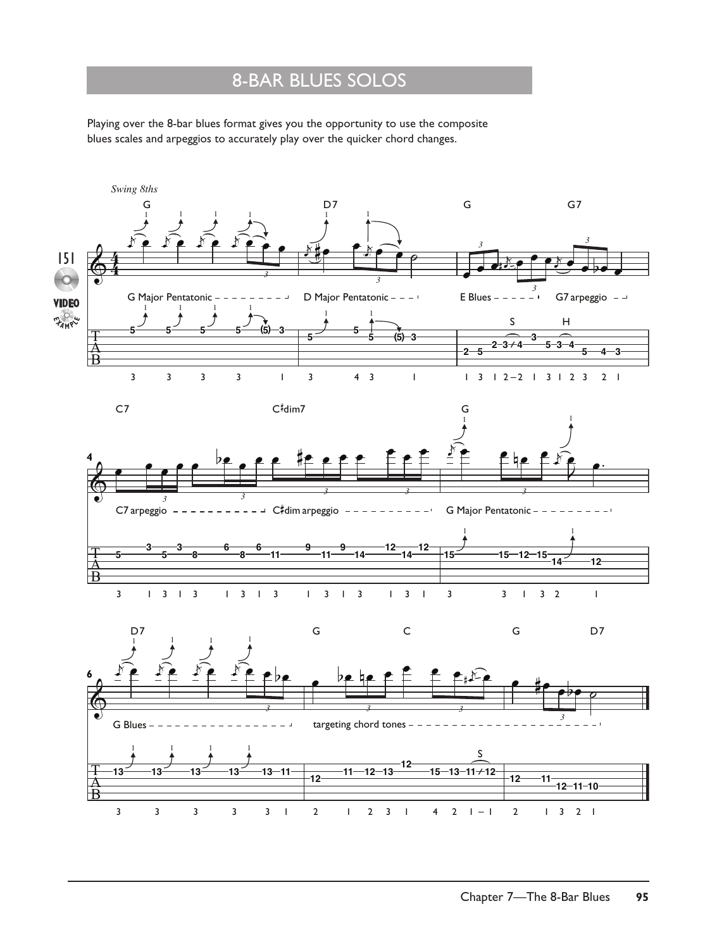### 8-bar blues solos

Playing over the 8-bar blues format gives you the opportunity to use the composite blues scales and arpeggios to accurately play over the quicker chord changes.

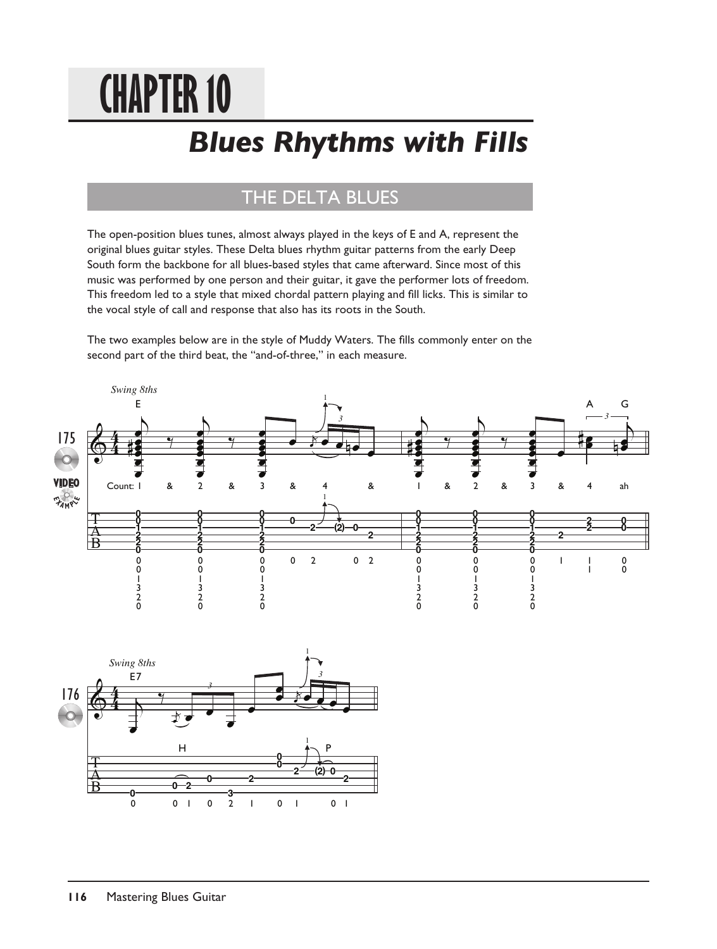# **Chapter 10**

## *Blues Rhythms with Fills*

## THE DELTA BLUES

The open-position blues tunes, almost always played in the keys of E and A, represent the original blues guitar styles. These Delta blues rhythm guitar patterns from the early Deep South form the backbone for all blues-based styles that came afterward. Since most of this music was performed by one person and their guitar, it gave the performer lots of freedom. This freedom led to a style that mixed chordal pattern playing and fill licks. This is similar to the vocal style of call and response that also has its roots in the South.

The two examples below are in the style of Muddy Waters. The fills commonly enter on the second part of the third beat, the "and-of-three," in each measure.